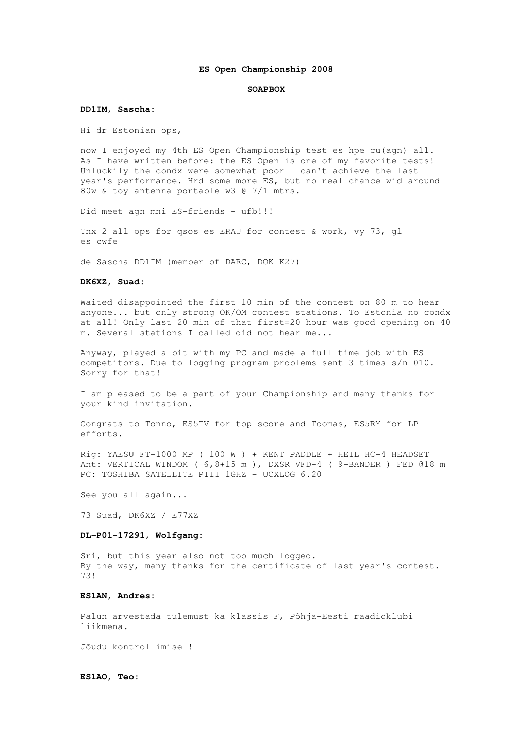#### **ES Open Championship 2008**

#### **SOAPBOX**

#### **DD1IM, Sascha:**

Hi dr Estonian ops,

now I enjoyed my 4th ES Open Championship test es hpe cu(agn) all. As I have written before: the ES Open is one of my favorite tests! Unluckily the condx were somewhat poor - can't achieve the last year's performance. Hrd some more ES, but no real chance wid around 80w & toy antenna portable w3 @ 7/1 mtrs.

Did meet agn mni ES-friends - ufb!!!

Tnx 2 all ops for qsos es ERAU for contest & work, vy 73, gl es cwfe

de Sascha DD1IM (member of DARC, DOK K27)

### **DK6XZ, Suad:**

Waited disappointed the first 10 min of the contest on 80 m to hear anyone... but only strong OK/OM contest stations. To Estonia no condx at all! Only last 20 min of that first=20 hour was good opening on 40 m. Several stations I called did not hear me...

Anyway, played a bit with my PC and made a full time job with ES competitors. Due to logging program problems sent 3 times s/n 010. Sorry for that!

I am pleased to be a part of your Championship and many thanks for your kind invitation.

Congrats to Tonno, ES5TV for top score and Toomas, ES5RY for LP efforts.

Rig: YAESU FT-1000 MP ( 100 W ) + KENT PADDLE + HEIL HC-4 HEADSET Ant: VERTICAL WINDOM ( 6,8+15 m ), DXSR VFD-4 ( 9-BANDER ) FED @18 m PC: TOSHIBA SATELLITE PIII 1GHZ - UCXLOG 6.20

See you all again...

73 Suad, DK6XZ / E77XZ

## **DL-P01-17291, Wolfgang:**

Sri, but this year also not too much logged. By the way, many thanks for the certificate of last year's contest. 73!

# **ES1AN, Andres:**

Palun arvestada tulemust ka klassis F, Põhja-Eesti raadioklubi liikmena.

Jõudu kontrollimisel!

**ES1AO, Teo:**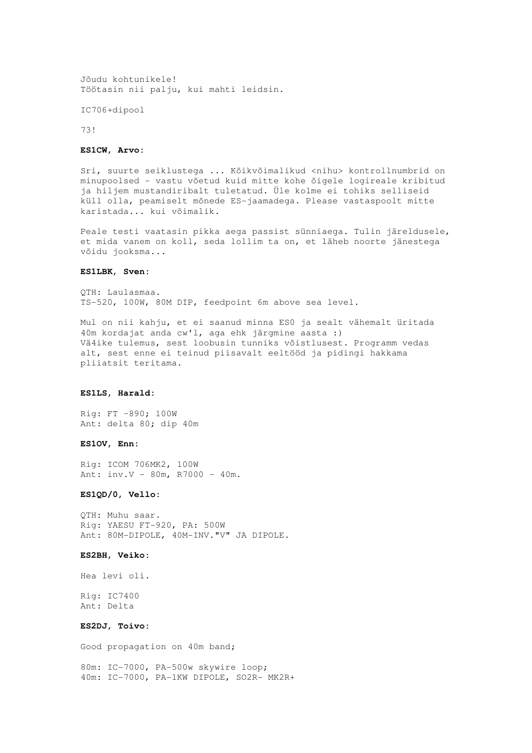Jõudu kohtunikele! Töötasin nii palju, kui mahti leidsin.

IC706+dipool

73!

#### **ES1CW, Arvo:**

Sri, suurte seiklustega ... Kõikvõimalikud <nihu> kontrollnumbrid on minupoolsed - vastu võetud kuid mitte kohe õigele logireale kribitud ja hiljem mustandiribalt tuletatud. Üle kolme ei tohiks selliseid küll olla, peamiselt mõnede ES-jaamadega. Please vastaspoolt mitte karistada... kui võimalik.

Peale testi vaatasin pikka aega passist sünniaega. Tulin järeldusele, et mida vanem on koll, seda lollim ta on, et läheb noorte jänestega võidu jooksma...

## **ES1LBK, Sven:**

QTH: Laulasmaa. TS-520, 100W, 80M DIP, feedpoint 6m above sea level.

Mul on nii kahju, et ei saanud minna ES0 ja sealt vähemalt üritada 40m kordajat anda cw'l, aga ehk järgmine aasta :) Vä4ike tulemus, sest loobusin tunniks võistlusest. Programm vedas alt, sest enne ei teinud piisavalt eeltööd ja pidingi hakkama pliiatsit teritama.

#### **ES1LS, Harald:**

Rig: FT –890; 100W Ant: delta 80; dip 40m

### **ES1OV, Enn:**

Rig: ICOM 706MK2, 100W Ant: inv.V - 80m, R7000 - 40m.

## **ES1QD/0, Vello:**

QTH: Muhu saar. Rig: YAESU FT-920, PA: 500W Ant: 80M-DIPOLE, 40M-INV."V" JA DIPOLE.

### **ES2BH, Veiko:**

Hea levi oli.

Rig: IC7400 Ant: Delta

### **ES2DJ, Toivo:**

Good propagation on 40m band;

80m: IC-7000, PA-500w skywire loop; 40m: IC-7000, PA-1KW DIPOLE, SO2R- MK2R+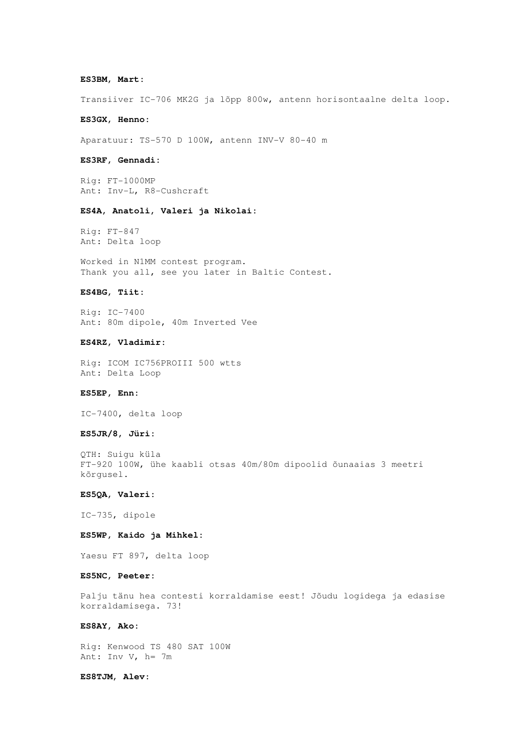### **ES3BM, Mart:**

Transiiver IC-706 MK2G ja lõpp 800w, antenn horisontaalne delta loop.

#### **ES3GX, Henno:**

Aparatuur: TS-570 D 100W, antenn INV-V 80-40 m

#### **ES3RF, Gennadi:**

Rig: FT-1000MP Ant: Inv-L, R8-Cushcraft

### **ES4A, Anatoli, Valeri ja Nikolai:**

Rig: FT-847 Ant: Delta loop

Worked in N1MM contest program. Thank you all, see you later in Baltic Contest.

### **ES4BG, Tiit:**

Rig: IC-7400 Ant: 80m dipole, 40m Inverted Vee

### **ES4RZ, Vladimir:**

Rig: ICOM IC756PROIII 500 wtts Ant: Delta Loop

#### **ES5EP, Enn:**

IC-7400, delta loop

#### **ES5JR/8, Jüri:**

QTH: Suigu küla FT-920 100W, ühe kaabli otsas 40m/80m dipoolid õunaaias 3 meetri kõrgusel.

### **ES5QA, Valeri:**

IC-735, dipole

## **ES5WP, Kaido ja Mihkel:**

Yaesu FT 897, delta loop

### **ES5NC, Peeter:**

Palju tänu hea contesti korraldamise eest! Jõudu logidega ja edasise korraldamisega. 73!

## **ES8AY, Ako:**

Rig: Kenwood TS 480 SAT 100W Ant: Inv V, h= 7m

#### **ES8TJM, Alev:**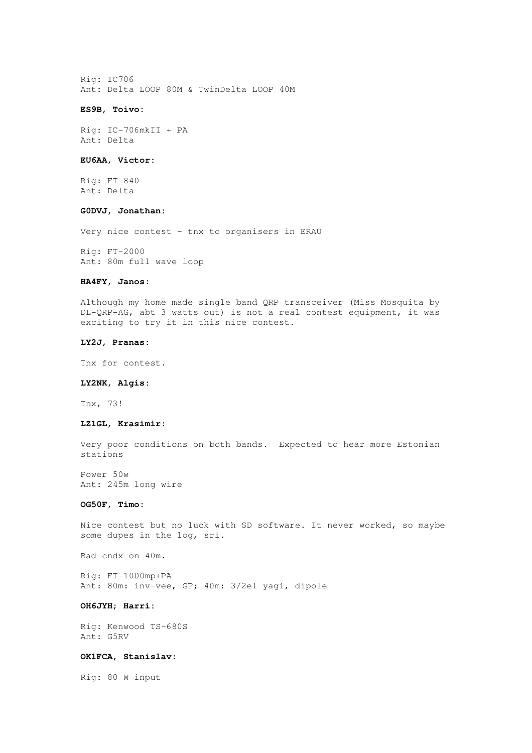Rig: IC706 Ant: Delta LOOP 80M & TwinDelta LOOP 40M

#### **ES9B, Toivo:**

Rig: IC-706mkII + PA Ant: Delta

#### **EU6AA, Victor:**

Rig: FT-840 Ant: Delta

### **G0DVJ, Jonathan:**

Very nice contest - tnx to organisers in ERAU

Rig: FT-2000 Ant: 80m full wave loop

## **HA4FY, Janos:**

Although my home made single band QRP transceiver (Miss Mosquita by DL-QRP-AG, abt 3 watts out) is not a real contest equipment, it was exciting to try it in this nice contest.

#### **LY2J, Pranas:**

Tnx for contest.

### **LY2NK, Algis:**

Tnx, 73!

#### **LZ1GL, Krasimir:**

Very poor conditions on both bands. Expected to hear more Estonian stations

Power 50w Ant: 245m long wire

## **OG50F, Timo:**

Nice contest but no luck with SD software. It never worked, so maybe some dupes in the log, sri.

Bad cndx on 40m.

Rig: FT-1000mp+PA Ant: 80m: inv-vee, GP; 40m: 3/2el yagi, dipole

### **OH6JYH; Harri:**

Rig: Kenwood TS-680S Ant: G5RV

### **OK1FCA, Stanislav:**

Rig: 80 W input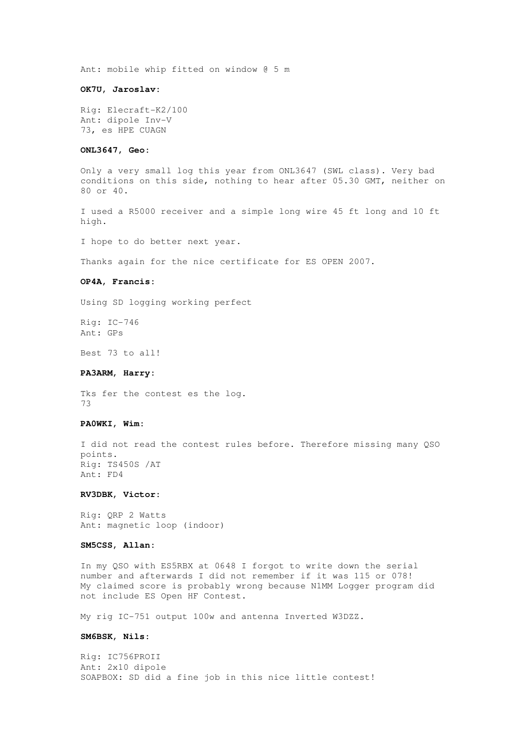Ant: mobile whip fitted on window @ 5 m

### **OK7U, Jaroslav:**

Rig: Elecraft-K2/100 Ant: dipole Inv-V 73, es HPE CUAGN

#### **ONL3647, Geo:**

Only a very small log this year from ONL3647 (SWL class). Very bad conditions on this side, nothing to hear after 05.30 GMT, neither on 80 or 40.

I used a R5000 receiver and a simple long wire 45 ft long and 10 ft high.

I hope to do better next year.

Thanks again for the nice certificate for ES OPEN 2007.

## **OP4A, Francis:**

Using SD logging working perfect

Rig: IC-746 Ant: GPs

Best 73 to all!

#### **PA3ARM, Harry:**

Tks fer the contest es the log. 73

#### **PA0WKI, Wim:**

I did not read the contest rules before. Therefore missing many QSO points. Rig: TS450S /AT Ant: FD4

### **RV3DBK, Victor:**

Rig: QRP 2 Watts Ant: magnetic loop (indoor)

## **SM5CSS, Allan:**

In my QSO with ES5RBX at 0648 I forgot to write down the serial number and afterwards I did not remember if it was 115 or 078! My claimed score is probably wrong because N1MM Logger program did not include ES Open HF Contest.

My rig IC-751 output 100w and antenna Inverted W3DZZ.

#### **SM6BSK, Nils:**

Rig: IC756PROII Ant: 2x10 dipole SOAPBOX: SD did a fine job in this nice little contest!